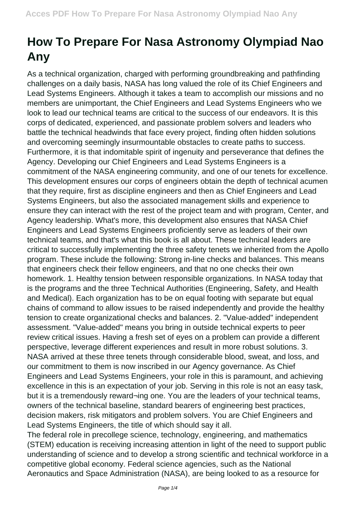## **How To Prepare For Nasa Astronomy Olympiad Nao Any**

As a technical organization, charged with performing groundbreaking and pathfinding challenges on a daily basis, NASA has long valued the role of its Chief Engineers and Lead Systems Engineers. Although it takes a team to accomplish our missions and no members are unimportant, the Chief Engineers and Lead Systems Engineers who we look to lead our technical teams are critical to the success of our endeavors. It is this corps of dedicated, experienced, and passionate problem solvers and leaders who battle the technical headwinds that face every project, finding often hidden solutions and overcoming seemingly insurmountable obstacles to create paths to success. Furthermore, it is that indomitable spirit of ingenuity and perseverance that defines the Agency. Developing our Chief Engineers and Lead Systems Engineers is a commitment of the NASA engineering community, and one of our tenets for excellence. This development ensures our corps of engineers obtain the depth of technical acumen that they require, first as discipline engineers and then as Chief Engineers and Lead Systems Engineers, but also the associated management skills and experience to ensure they can interact with the rest of the project team and with program, Center, and Agency leadership. What's more, this development also ensures that NASA Chief Engineers and Lead Systems Engineers proficiently serve as leaders of their own technical teams, and that's what this book is all about. These technical leaders are critical to successfully implementing the three safety tenets we inherited from the Apollo program. These include the following: Strong in-line checks and balances. This means that engineers check their fellow engineers, and that no one checks their own homework. 1. Healthy tension between responsible organizations. In NASA today that is the programs and the three Technical Authorities (Engineering, Safety, and Health and Medical). Each organization has to be on equal footing with separate but equal chains of command to allow issues to be raised independently and provide the healthy tension to create organizational checks and balances. 2. "Value-added" independent assessment. "Value-added" means you bring in outside technical experts to peer review critical issues. Having a fresh set of eyes on a problem can provide a different perspective, leverage different experiences and result in more robust solutions. 3. NASA arrived at these three tenets through considerable blood, sweat, and loss, and our commitment to them is now inscribed in our Agency governance. As Chief Engineers and Lead Systems Engineers, your role in this is paramount, and achieving excellence in this is an expectation of your job. Serving in this role is not an easy task, but it is a tremendously reward¬ing one. You are the leaders of your technical teams, owners of the technical baseline, standard bearers of engineering best practices, decision makers, risk mitigators and problem solvers. You are Chief Engineers and Lead Systems Engineers, the title of which should say it all.

The federal role in precollege science, technology, engineering, and mathematics (STEM) education is receiving increasing attention in light of the need to support public understanding of science and to develop a strong scientific and technical workforce in a competitive global economy. Federal science agencies, such as the National Aeronautics and Space Administration (NASA), are being looked to as a resource for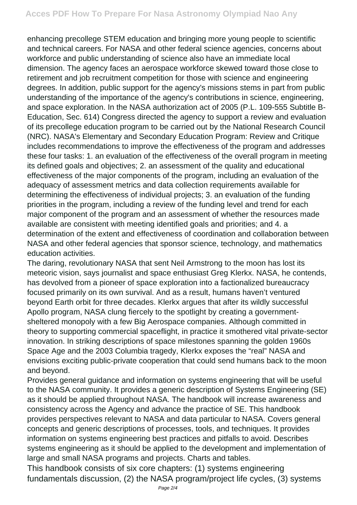enhancing precollege STEM education and bringing more young people to scientific and technical careers. For NASA and other federal science agencies, concerns about workforce and public understanding of science also have an immediate local dimension. The agency faces an aerospace workforce skewed toward those close to retirement and job recruitment competition for those with science and engineering degrees. In addition, public support for the agency's missions stems in part from public understanding of the importance of the agency's contributions in science, engineering, and space exploration. In the NASA authorization act of 2005 (P.L. 109-555 Subtitle B-Education, Sec. 614) Congress directed the agency to support a review and evaluation of its precollege education program to be carried out by the National Research Council (NRC). NASA's Elementary and Secondary Education Program: Review and Critique includes recommendations to improve the effectiveness of the program and addresses these four tasks: 1. an evaluation of the effectiveness of the overall program in meeting its defined goals and objectives; 2. an assessment of the quality and educational effectiveness of the major components of the program, including an evaluation of the adequacy of assessment metrics and data collection requirements available for determining the effectiveness of individual projects; 3. an evaluation of the funding priorities in the program, including a review of the funding level and trend for each major component of the program and an assessment of whether the resources made available are consistent with meeting identified goals and priorities; and 4. a determination of the extent and effectiveness of coordination and collaboration between NASA and other federal agencies that sponsor science, technology, and mathematics education activities.

The daring, revolutionary NASA that sent Neil Armstrong to the moon has lost its meteoric vision, says journalist and space enthusiast Greg Klerkx. NASA, he contends, has devolved from a pioneer of space exploration into a factionalized bureaucracy focused primarily on its own survival. And as a result, humans haven't ventured beyond Earth orbit for three decades. Klerkx argues that after its wildly successful Apollo program, NASA clung fiercely to the spotlight by creating a governmentsheltered monopoly with a few Big Aerospace companies. Although committed in theory to supporting commercial spaceflight, in practice it smothered vital private-sector innovation. In striking descriptions of space milestones spanning the golden 1960s Space Age and the 2003 Columbia tragedy, Klerkx exposes the "real" NASA and envisions exciting public-private cooperation that could send humans back to the moon and beyond.

Provides general guidance and information on systems engineering that will be useful to the NASA community. It provides a generic description of Systems Engineering (SE) as it should be applied throughout NASA. The handbook will increase awareness and consistency across the Agency and advance the practice of SE. This handbook provides perspectives relevant to NASA and data particular to NASA. Covers general concepts and generic descriptions of processes, tools, and techniques. It provides information on systems engineering best practices and pitfalls to avoid. Describes systems engineering as it should be applied to the development and implementation of large and small NASA programs and projects. Charts and tables.

This handbook consists of six core chapters: (1) systems engineering fundamentals discussion, (2) the NASA program/project life cycles, (3) systems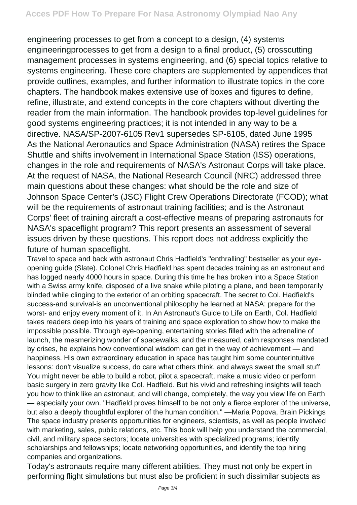engineering processes to get from a concept to a design, (4) systems engineeringprocesses to get from a design to a final product, (5) crosscutting management processes in systems engineering, and (6) special topics relative to systems engineering. These core chapters are supplemented by appendices that provide outlines, examples, and further information to illustrate topics in the core chapters. The handbook makes extensive use of boxes and figures to define, refine, illustrate, and extend concepts in the core chapters without diverting the reader from the main information. The handbook provides top-level guidelines for good systems engineering practices; it is not intended in any way to be a directive. NASA/SP-2007-6105 Rev1 supersedes SP-6105, dated June 1995 As the National Aeronautics and Space Administration (NASA) retires the Space Shuttle and shifts involvement in International Space Station (ISS) operations, changes in the role and requirements of NASA's Astronaut Corps will take place. At the request of NASA, the National Research Council (NRC) addressed three main questions about these changes: what should be the role and size of Johnson Space Center's (JSC) Flight Crew Operations Directorate (FCOD); what will be the requirements of astronaut training facilities; and is the Astronaut Corps' fleet of training aircraft a cost-effective means of preparing astronauts for NASA's spaceflight program? This report presents an assessment of several issues driven by these questions. This report does not address explicitly the future of human spaceflight.

Travel to space and back with astronaut Chris Hadfield's "enthralling" bestseller as your eyeopening guide (Slate). Colonel Chris Hadfield has spent decades training as an astronaut and has logged nearly 4000 hours in space. During this time he has broken into a Space Station with a Swiss army knife, disposed of a live snake while piloting a plane, and been temporarily blinded while clinging to the exterior of an orbiting spacecraft. The secret to Col. Hadfield's success-and survival-is an unconventional philosophy he learned at NASA: prepare for the worst- and enjoy every moment of it. In An Astronaut's Guide to Life on Earth, Col. Hadfield takes readers deep into his years of training and space exploration to show how to make the impossible possible. Through eye-opening, entertaining stories filled with the adrenaline of launch, the mesmerizing wonder of spacewalks, and the measured, calm responses mandated by crises, he explains how conventional wisdom can get in the way of achievement — and happiness. His own extraordinary education in space has taught him some counterintuitive lessons: don't visualize success, do care what others think, and always sweat the small stuff. You might never be able to build a robot, pilot a spacecraft, make a music video or perform basic surgery in zero gravity like Col. Hadfield. But his vivid and refreshing insights will teach you how to think like an astronaut, and will change, completely, the way you view life on Earth — especially your own. "Hadfield proves himself to be not only a fierce explorer of the universe, but also a deeply thoughtful explorer of the human condition." —Maria Popova, Brain Pickings The space industry presents opportunities for engineers, scientists, as well as people involved with marketing, sales, public relations, etc. This book will help you understand the commercial, civil, and military space sectors; locate universities with specialized programs; identify scholarships and fellowships; locate networking opportunities, and identify the top hiring companies and organizations.

Today's astronauts require many different abilities. They must not only be expert in performing flight simulations but must also be proficient in such dissimilar subjects as